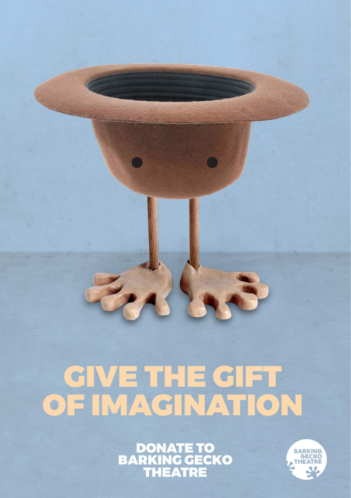# GIVE THE GIFT OF IMAGINATION

DONATE TO BARKING GECKO THEATRE

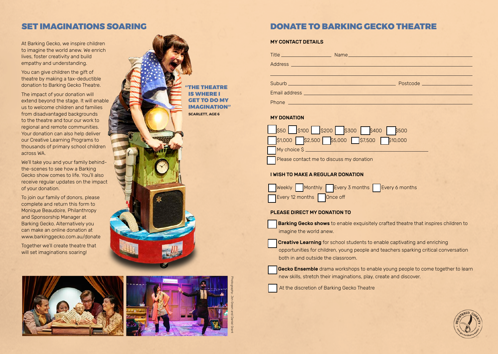# SET IMAGINATIONS SOARING

At Barking Gecko, we inspire children to imagine the world anew. We enrich lives, foster creativity and build empathy and understanding.

You can give children the gift of theatre by making a tax-deductible donation to Barking Gecko Theatre.

The impact of your donation will extend beyond the stage. It will enable us to welcome children and families from disadvantaged backgrounds to the theatre and tour our work to regional and remote communities. Your donation can also help deliver our Creative Learning Programs to thousands of primary school children across WA.

We'll take you and your family behindthe-scenes to see how a Barking Gecko show comes to life. You'll also receive regular updates on the impact of your donation.

To join our family of donors, please complete and return this form to Monique Beaudoire, Philanthropy and Sponsorship Manager at Barking Gecko. Alternatively you can make an online donation at www.barkinggecko.com.au/donate

Together we'll create theatre that will set imaginations soaring!



Photography: Jon Green and Daniel Grant

# DONATE TO BARKING GECKO THEATRE

MY CONTACT DETAILS

| Address                                                                                                                                                                                                                              | he <b>he controlled the controller of the controller of the controller of the controller of the controller of the controller of the control of the control of the control of the control of the control of the control of the co</b> | Name. And the state of the state of the state of the state of the state of the state of the state of the state of the state of the state of the state of the state of the state of the state of the state of the state of the |  |
|--------------------------------------------------------------------------------------------------------------------------------------------------------------------------------------------------------------------------------------|--------------------------------------------------------------------------------------------------------------------------------------------------------------------------------------------------------------------------------------|-------------------------------------------------------------------------------------------------------------------------------------------------------------------------------------------------------------------------------|--|
| Suburb <u>the contract of the contract of the contract of the contract of the contract of the contract of the contract of the contract of the contract of the contract of the contract of the contract of the contract of the co</u> |                                                                                                                                                                                                                                      | Postcode in the contract of the contract of the contract of the contract of the contract of the contract of the                                                                                                               |  |
|                                                                                                                                                                                                                                      | Email address entrance and the contract of the contract of the contract of the contract of the contract of the                                                                                                                       |                                                                                                                                                                                                                               |  |

# MY DONATION

|                                          | 5500 5100 5200 5300 5400 5500       |  |  |  |  |  |  |  |
|------------------------------------------|-------------------------------------|--|--|--|--|--|--|--|
|                                          | S1,000 S2,500 S5,000 S7,500 S10,000 |  |  |  |  |  |  |  |
| My choice \$                             |                                     |  |  |  |  |  |  |  |
| Please contact me to discuss my donation |                                     |  |  |  |  |  |  |  |

### I WISH TO MAKE A REGULAR DONATION



# PLEASE DIRECT MY DONATION TO

**Barking Gecko shows** to enable exquisitely crafted theatre that inspires children to imagine the world anew.

**Creative Learning** for school students to enable captivating and enriching opportunities for children, young people and teachers sparking critical conversation both in and outside the classroom.

Gecko Ensemble drama workshops to enable young people to come together to learn new skills, stretch their imaginations, play, create and discover.



At the discretion of Barking Gecko Theatre